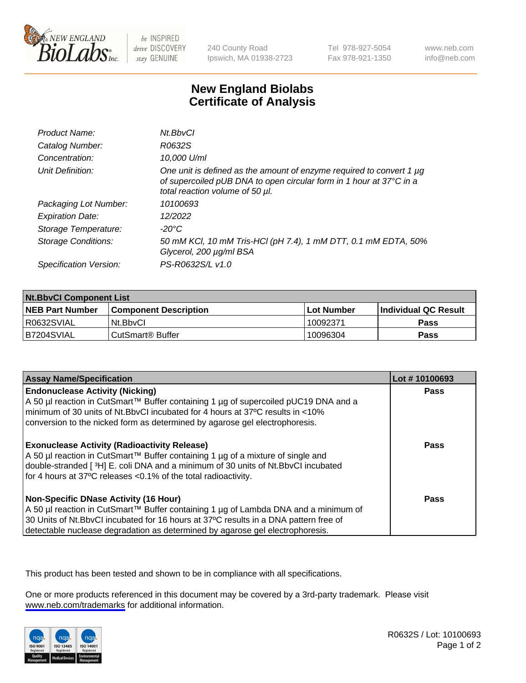

be INSPIRED drive DISCOVERY stay GENUINE

240 County Road Ipswich, MA 01938-2723 Tel 978-927-5054 Fax 978-921-1350

www.neb.com info@neb.com

## **New England Biolabs Certificate of Analysis**

| Product Name:              | Nt.BbvCl                                                                                                                                                                       |
|----------------------------|--------------------------------------------------------------------------------------------------------------------------------------------------------------------------------|
| Catalog Number:            | R0632S                                                                                                                                                                         |
| Concentration:             | 10,000 U/ml                                                                                                                                                                    |
| Unit Definition:           | One unit is defined as the amount of enzyme required to convert 1 µg<br>of supercoiled pUB DNA to open circular form in 1 hour at 37°C in a<br>total reaction volume of 50 µl. |
| Packaging Lot Number:      | 10100693                                                                                                                                                                       |
| <b>Expiration Date:</b>    | 12/2022                                                                                                                                                                        |
| Storage Temperature:       | $-20^{\circ}$ C                                                                                                                                                                |
| <b>Storage Conditions:</b> | 50 mM KCl, 10 mM Tris-HCl (pH 7.4), 1 mM DTT, 0.1 mM EDTA, 50%<br>Glycerol, 200 µg/ml BSA                                                                                      |
| Specification Version:     | PS-R0632S/L v1.0                                                                                                                                                               |

| <b>Nt.BbvCl Component List</b> |                              |              |                             |  |
|--------------------------------|------------------------------|--------------|-----------------------------|--|
| <b>NEB Part Number</b>         | <b>Component Description</b> | l Lot Number | <b>Individual QC Result</b> |  |
| I R0632SVIAL                   | Nt.BbvCl                     | 10092371     | <b>Pass</b>                 |  |
| IB7204SVIAL                    | l CutSmart® Buffer           | 10096304     | <b>Pass</b>                 |  |

| <b>Assay Name/Specification</b>                                                                                                                                                                                                                                                                                | Lot #10100693 |
|----------------------------------------------------------------------------------------------------------------------------------------------------------------------------------------------------------------------------------------------------------------------------------------------------------------|---------------|
| <b>Endonuclease Activity (Nicking)</b><br>  A 50 µl reaction in CutSmart™ Buffer containing 1 µg of supercoiled pUC19 DNA and a<br>I minimum of 30 units of Nt.BbvCI incubated for 4 hours at 37°C results in <10%<br>conversion to the nicked form as determined by agarose gel electrophoresis.              | Pass          |
| <b>Exonuclease Activity (Radioactivity Release)</b><br>  A 50 µl reaction in CutSmart™ Buffer containing 1 µg of a mixture of single and<br>double-stranded [3H] E. coli DNA and a minimum of 30 units of Nt.BbvCl incubated<br>for 4 hours at 37°C releases <0.1% of the total radioactivity.                 | Pass          |
| <b>Non-Specific DNase Activity (16 Hour)</b><br>  A 50 µl reaction in CutSmart™ Buffer containing 1 µg of Lambda DNA and a minimum of<br>30 Units of Nt.BbvCl incubated for 16 hours at 37°C results in a DNA pattern free of<br>detectable nuclease degradation as determined by agarose gel electrophoresis. | Pass          |

This product has been tested and shown to be in compliance with all specifications.

One or more products referenced in this document may be covered by a 3rd-party trademark. Please visit <www.neb.com/trademarks>for additional information.